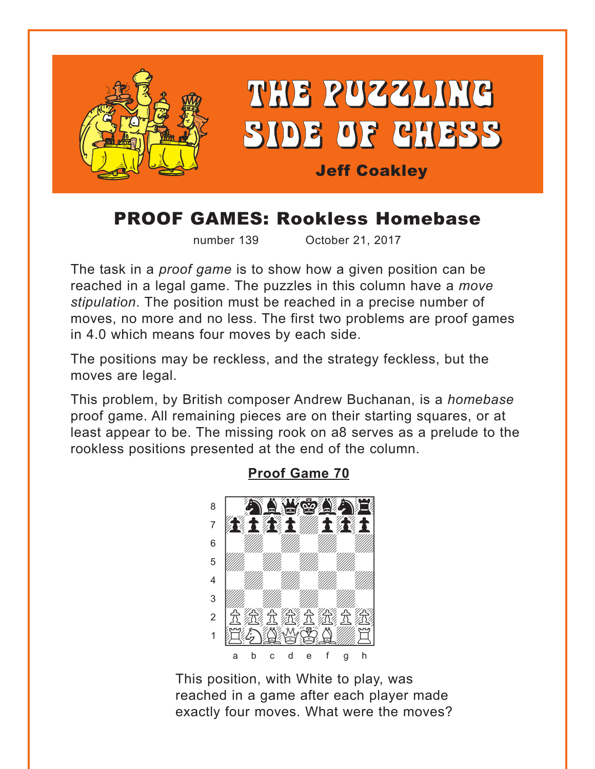<span id="page-0-0"></span>

# **PROOF GAMES: Rookless Homebase**

number 139

October 21, 2017

The task in a *proof game* is to show how a given position can be reached in a legal game. The puzzles in this column have a move stipulation. The position must be reached in a precise number of moves, no more and no less. The first two problems are proof games in 4.0 which means four moves by each side.

The positions may be reckless, and the strategy feckless, but the moves are legal.

This problem, by British composer Andrew Buchanan, is a *homebase* proof game. All remaining pieces are on their starting squares, or at least appear to be. The missing rook on a8 serves as a prelude to the rookless positions presented at the end of the column.



#### **Proof Game 70**

This position, with White to play, was reached in a game after each player made exactly four moves. What were the moves?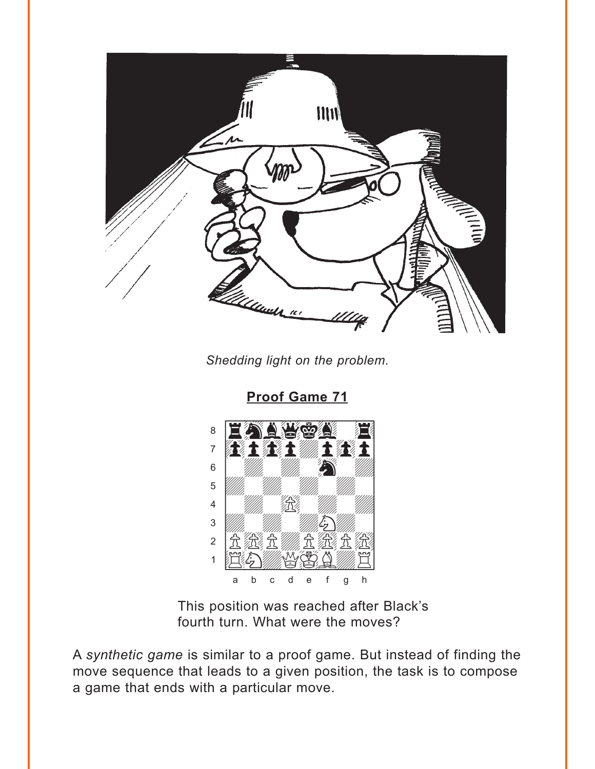<span id="page-1-0"></span>

Shedding light on the problem.

**Proof Game 71** 



This position was reached after Black's fourth turn. What were the moves?

A synthetic game is similar to a proof game. But instead of finding the move sequence that leads to a given position, the task is to compose a game that ends with a particular move.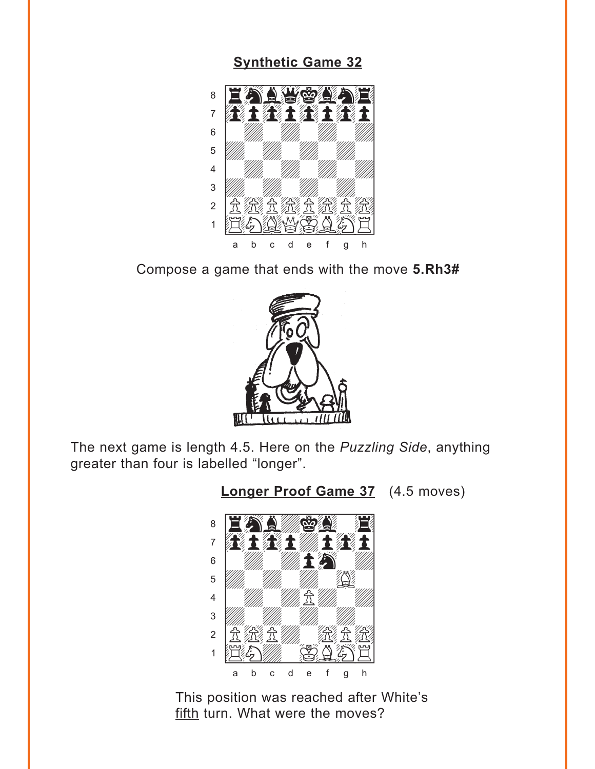#### **[Synthetic Game 32](#page-7-0)**

<span id="page-2-0"></span>

Compose a game that ends with the move **5.Rh3#**



The next game is length 4.5. Here on the *Puzzling Side*, anything greater than four is labelled "longer".

**[Longer Proof Game 37](#page-7-0)** (4.5 moves)



This position was reached after White's fifth turn. What were the moves?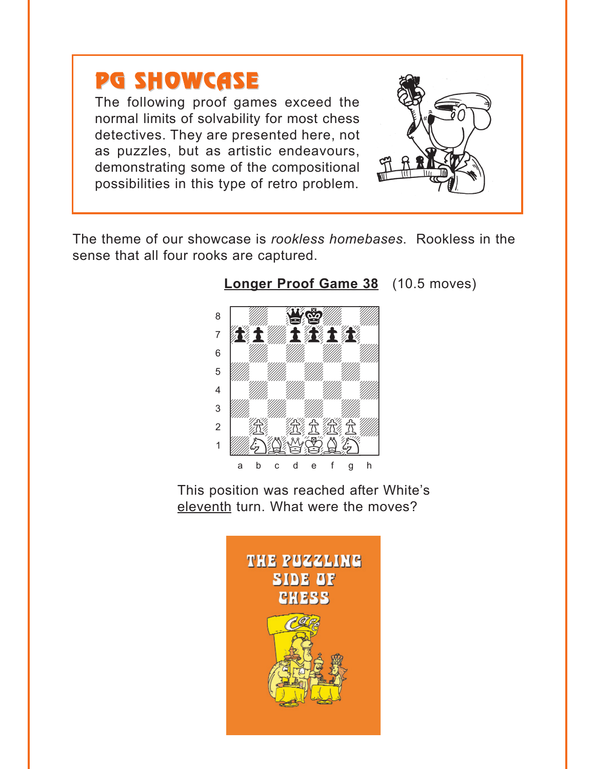<span id="page-3-0"></span>

The following proof games exceed the normal limits of solvability for most chess detectives. They are presented here, not as puzzles, but as artistic endeavours, demonstrating some of the compositional possibilities in this type of retro problem.



The theme of our showcase is *rookless homebases*. Rookless in the sense that all four rooks are captured.



### **[Longer Proof Game 38](#page-8-0)** (10.5 moves)

This position was reached after White's eleventh turn. What were the moves?

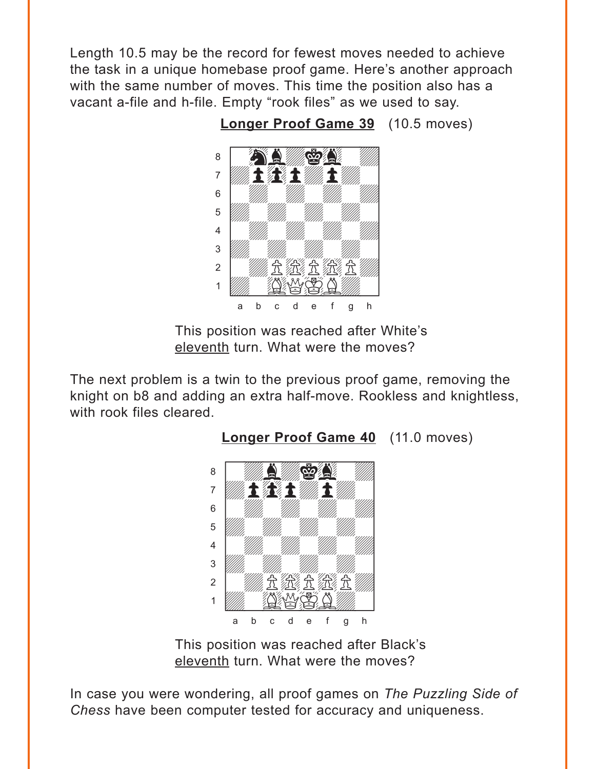<span id="page-4-0"></span>Length 10.5 may be the record for fewest moves needed to achieve the task in a unique homebase proof game. Here's another approach with the same number of moves. This time the position also has a vacant a-file and h-file. Empty "rook files" as we used to say.

> www.communications.com  $\delta$  ,  $\sum_{i=1}^n\frac{1}{i}$  ,  $\sum_{i=1}^n\frac{1}{i}$  $\overline{a}$  and  $\overline{a}$  and  $\overline{a}$  and  $\overline{a}$  and  $\overline{a}$  and  $\overline{a}$  and  $\overline{a}$  and  $\overline{a}$  and  $\overline{a}$  and  $\overline{a}$  and  $\overline{a}$  and  $\overline{a}$  and  $\overline{a}$  and  $\overline{a}$  and  $\overline{a}$  and  $\overline{a}$  and  $\overline{a}$  and 6 *William William William William William William William William William William William William William William William William William William William William William William William William William William William Wil*  $\overline{\mathcal{L}}$ 4 William William William William  $\frac{1}{\sqrt{2}}$  $\blacksquare$   $\blacksquare$   $\blacksquare$   $\blacksquare$   $\blacksquare$   $\blacksquare$   $\blacksquare$   $\blacksquare$   $\blacksquare$   $\blacksquare$   $\blacksquare$   $\blacksquare$   $\blacksquare$   $\blacksquare$   $\blacksquare$   $\blacksquare$   $\blacksquare$   $\blacksquare$   $\blacksquare$   $\blacksquare$   $\blacksquare$   $\blacksquare$   $\blacksquare$   $\blacksquare$   $\blacksquare$   $\blacksquare$   $\blacksquare$   $\blacksquare$   $\blacksquare$   $\blacksquare$   $\blacksquare$   $\blacks$ a b c d e f g h

**[Longer Proof Game 39](#page-8-0)** (10.5 moves)

This position was reached after White's eleventh turn. What were the moves?

The next problem is a twin to the previous proof game, removing the knight on b8 and adding an extra half-move. Rookless and knightless, with rook files cleared.



This position was reached after Black's eleventh turn. What were the moves?

In case you were wondering, all proof games on *The Puzzling Side of Chess* have been computer tested for accuracy and uniqueness.

[Longer Proof Game 40](#page-9-0) (11.0 moves)

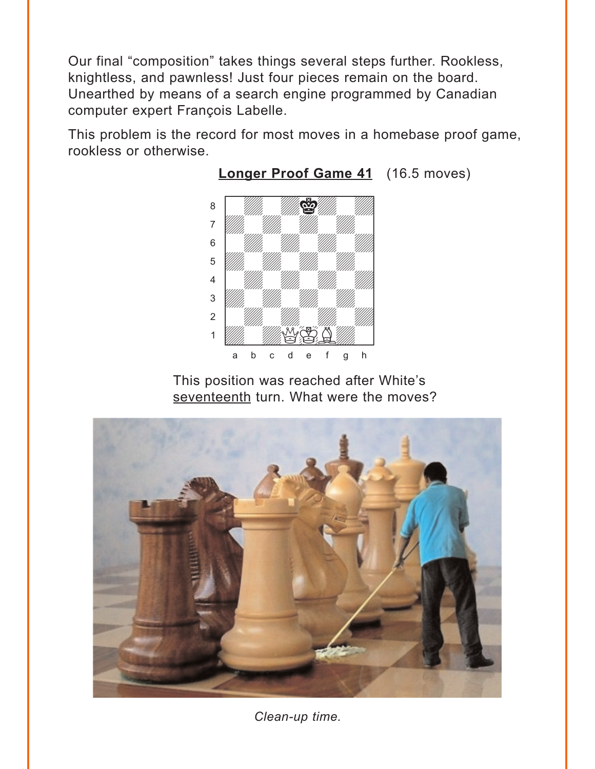<span id="page-5-0"></span>Our final "composition" takes things several steps further. Rookless, knightless, and pawnless! Just four pieces remain on the board. Unearthed by means of a search engine programmed by Canadian computer expert François Labelle.

This problem is the record for most moves in a homebase proof game, rookless or otherwise.



#### **[Longer Proof Game 41](#page-9-0)** (16.5 moves)

This position was reached after White's seventeenth turn. What were the moves?



*Clean-up time.*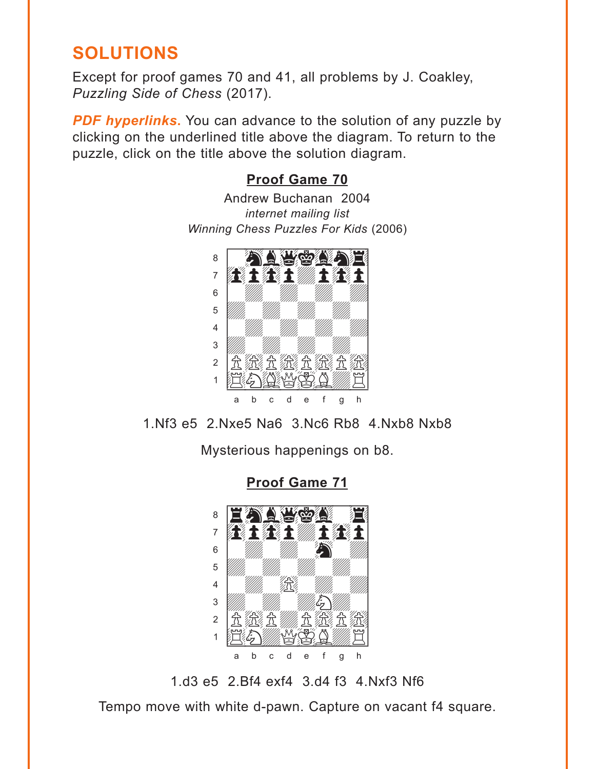## <span id="page-6-0"></span>**SOLUTIONS**

Except for proof games 70 and 41, all problems by J. Coakley, *Puzzling Side of Chess* (2017).

**PDF hyperlinks.** You can advance to the solution of any puzzle by clicking on the underlined title above the diagram. To return to the puzzle, click on the title above the solution diagram.

### **[Proof Game 70](#page-0-0)**

Andrew Buchanan 2004 *internet mailing list Winning Chess Puzzles For Kids* (2006)



1.Nf3 e5 2.Nxe5 Na6 3.Nc6 Rb8 4.Nxb8 Nxb8

Mysterious happenings on b8.

**[Proof Game 71](#page-1-0)**



1.d3 e5 2.Bf4 exf4 3.d4 f3 4.Nxf3 Nf6

Tempo move with white d-pawn. Capture on vacant f4 square.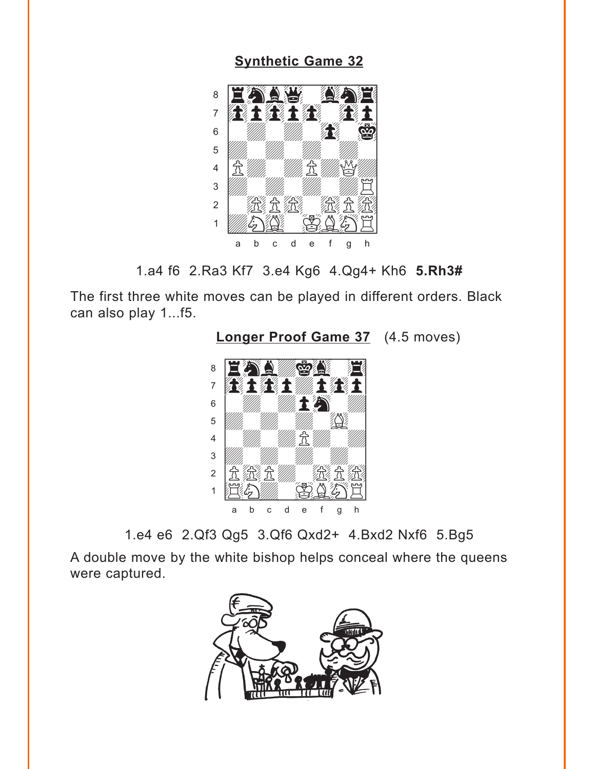#### **[Synthetic Game 32](#page-2-0)**

<span id="page-7-0"></span>



The first three white moves can be played in different orders. Black can also play 1...f5.



**[Longer Proof Game 37](#page-2-0)** (4.5 moves)

1.e4 e6 2.Qf3 Qg5 3.Qf6 Qxd2+ 4.Bxd2 Nxf6 5.Bg5

A double move by the white bishop helps conceal where the queens were captured.

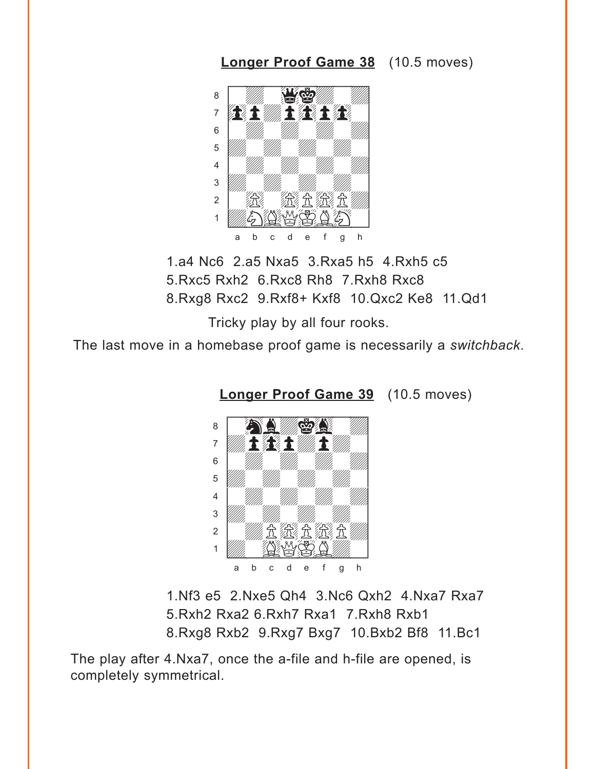<span id="page-8-0"></span>**[Longer Proof Game 38](#page-3-0)** (10.5 moves)



1.a4 Nc6 2.a5 Nxa5 3.Rxa5 h5 4.Rxh5 c5 5.Rxc5 Rxh2 6.Rxc8 Rh8 7.Rxh8 Rxc8 8.Rxg8 Rxc2 9.Rxf8+ Kxf8 10.Qxc2 Ke8 11.Qd1

Tricky play by all four rooks.

The last move in a homebase proof game is necessarily a *switchback*.



**[Longer Proof Game 39](#page-4-0)** (10.5 moves)

1.Nf3 e5 2.Nxe5 Qh4 3.Nc6 Qxh2 4.Nxa7 Rxa7 5.Rxh2 Rxa2 6.Rxh7 Rxa1 7.Rxh8 Rxb1 8.Rxg8 Rxb2 9.Rxg7 Bxg7 10.Bxb2 Bf8 11.Bc1

The play after 4.Nxa7, once the a-file and h-file are opened, is completely symmetrical.